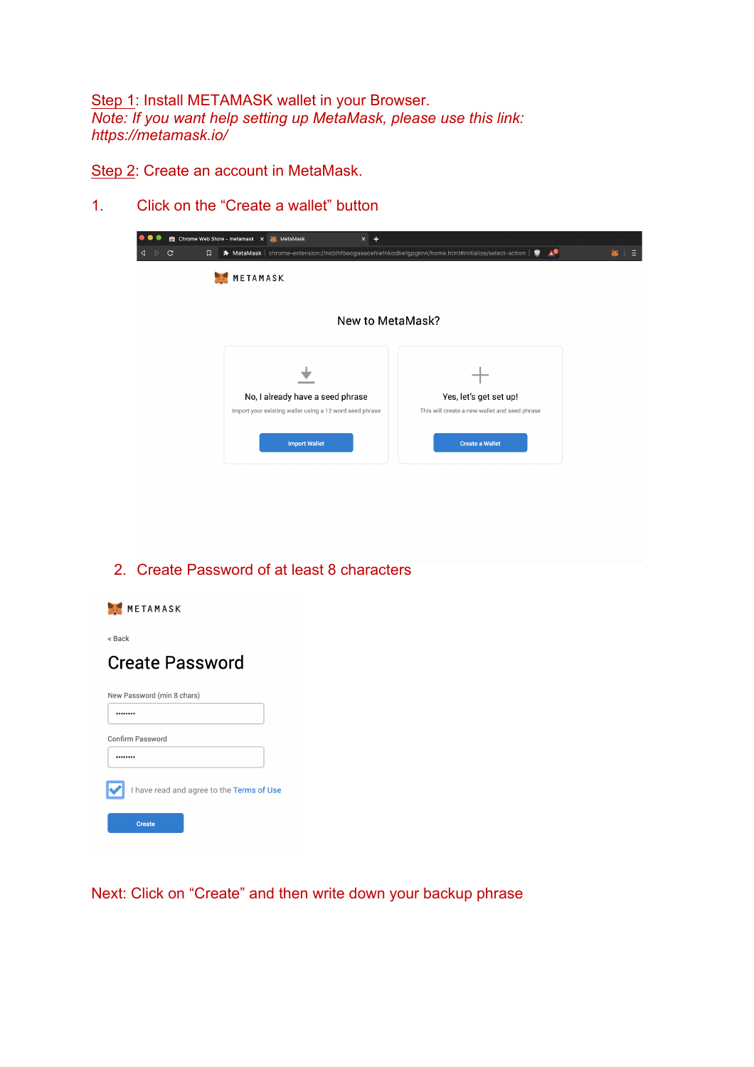Step 1: Install METAMASK wallet in your Browser. *Note: If you want help setting up MetaMask, please use this link: https://metamask.io/*

Step 2: Create an account in MetaMask.

1. Click on the "Create a wallet" button

| Chrome Web Store - metamask X MetaMask<br>$x +$                                             |                                                                         |                                                                                                                             |
|---------------------------------------------------------------------------------------------|-------------------------------------------------------------------------|-----------------------------------------------------------------------------------------------------------------------------|
|                                                                                             | ΔО                                                                      | - 5                                                                                                                         |
| METAMASK                                                                                    |                                                                         |                                                                                                                             |
|                                                                                             |                                                                         |                                                                                                                             |
|                                                                                             |                                                                         |                                                                                                                             |
| No, I already have a seed phrase<br>Import your existing wallet using a 12 word seed phrase | Yes, let's get set up!<br>This will create a new wallet and seed phrase |                                                                                                                             |
| <b>Import Wallet</b>                                                                        | <b>Create a Wallet</b>                                                  |                                                                                                                             |
|                                                                                             |                                                                         | ★ MetaMask   chrome-extension://nkbihfbeogaeaoehlefnkodbefgpgknn/home.html#initialize/select-action   ♥<br>New to MetaMask? |

2. Create Password of at least 8 characters

| METAMASK                                  |
|-------------------------------------------|
| < Back                                    |
| <b>Create Password</b>                    |
| New Password (min 8 chars)                |
|                                           |
| Confirm Password                          |
|                                           |
| I have read and agree to the Terms of Use |
| <b>Create</b>                             |

Next: Click on "Create" and then write down your backup phrase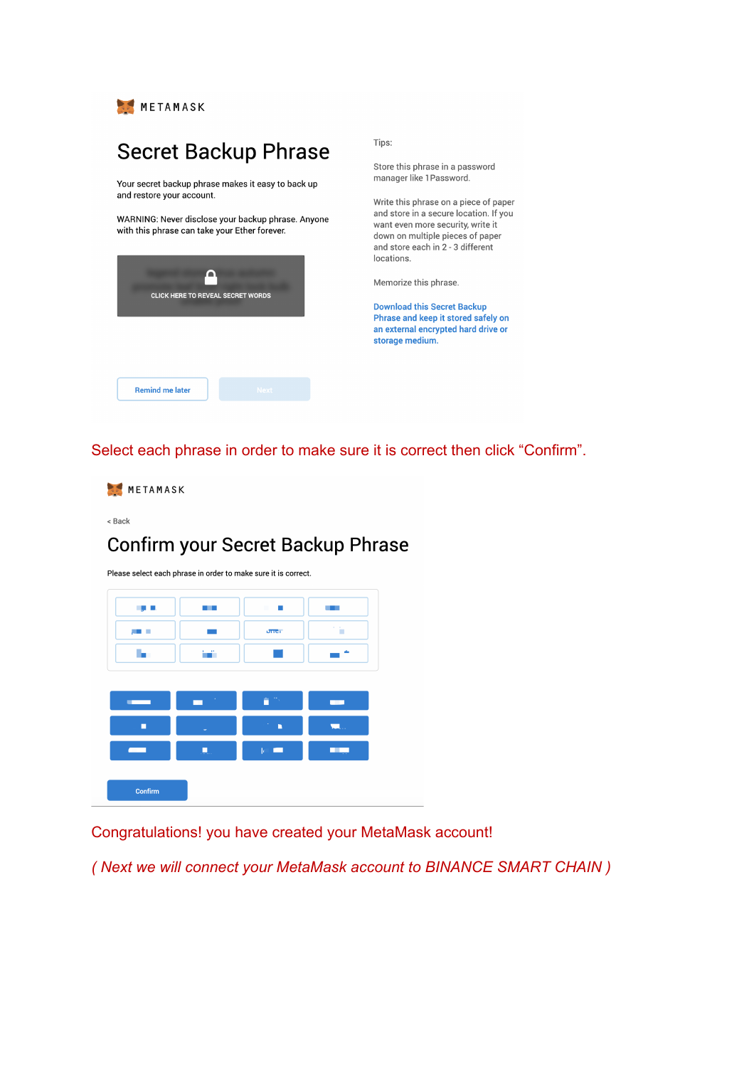

## **Secret Backup Phrase**

Your secret backup phrase makes it easy to back up and restore your account.

WARNING: Never disclose your backup phrase. Anyone with this phrase can take your Ether forever.

| <b>CLICK HERE TO REVEAL SECRET WORDS</b> |             |
|------------------------------------------|-------------|
| <b>Remind me later</b>                   | <b>Next</b> |

Tips:

Store this phrase in a password manager like 1Password.

Write this phrase on a piece of paper and store in a secure location. If you want even more security, write it down on multiple pieces of paper and store each in 2 - 3 different locations.

Memorize this phrase.

**Download this Secret Backup** Phrase and keep it stored safely on an external encrypted hard drive or storage medium.

Select each phrase in order to make sure it is correct then click "Confirm".



< Back

## Confirm your Secret Backup Phrase

Please select each phrase in order to make sure it is correct.

| L, L                                       | a di S | ×<br>п       | a sa Bara                |
|--------------------------------------------|--------|--------------|--------------------------|
| п                                          |        | <b>UTTGT</b> | Ġ,                       |
|                                            | ш.     |              | ۰                        |
|                                            |        |              |                          |
| <b>Contract Contract Contract Contract</b> | ÷.     | 青水           | $\overline{\phantom{a}}$ |
| г                                          |        | n            | <b>EL.</b>               |
| <b>Contract Contract</b>                   | ш.     | $ c  =$      |                          |
|                                            |        |              |                          |
| Confirm                                    |        |              |                          |

Congratulations! you have created your MetaMask account!

(Next we will connect your MetaMask account to BINANCE SMART CHAIN)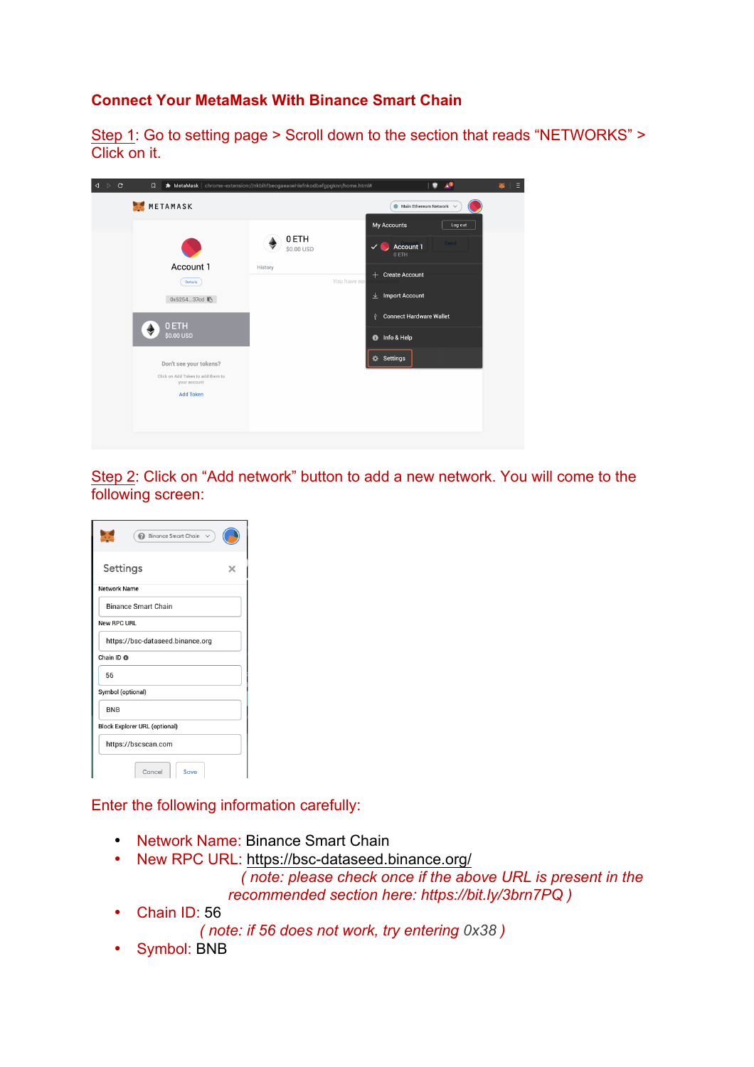## **Connect Your MetaMask With Binance Smart Chain**

Step 1: Go to setting page > Scroll down to the section that reads "NETWORKS" > Click on it.

| $\mathbf{C}$<br>$\triangleright$<br>◁ | $\Box$                                            | * MetaMask   chrome-extension://nkbihfbeogaeaoehlefnkodbefgpgknn/home.html# | $\bullet$                                        | $\Box$<br>冨 |
|---------------------------------------|---------------------------------------------------|-----------------------------------------------------------------------------|--------------------------------------------------|-------------|
|                                       | METAMASK                                          |                                                                             | $\bullet$ Main Ethereum Network $\checkmark$     |             |
|                                       |                                                   |                                                                             | My Accounts<br>Log out                           |             |
|                                       |                                                   | 0 ETH<br>\$0.00 USD                                                         | Send<br>Account 1<br>$\checkmark$<br>N.<br>0 ETH |             |
|                                       | Account 1                                         | History                                                                     |                                                  |             |
|                                       | Details                                           | You have no                                                                 | $+$ Create Account                               |             |
|                                       | 0x525437cd                                        |                                                                             | $\perp$ Import Account                           |             |
|                                       |                                                   |                                                                             | <b>Connect Hardware Wallet</b><br>Ŷ              |             |
|                                       | 0 ETH<br>♦<br>\$0.00 USD                          |                                                                             | <b>O</b> Info & Help                             |             |
|                                       | Don't see your tokens?                            |                                                                             | <b>☆ Settings</b>                                |             |
|                                       | Click on Add Token to add them to<br>your account |                                                                             |                                                  |             |
|                                       | <b>Add Token</b>                                  |                                                                             |                                                  |             |
|                                       |                                                   |                                                                             |                                                  |             |
|                                       |                                                   |                                                                             |                                                  |             |
|                                       |                                                   |                                                                             |                                                  |             |

Step 2: Click on "Add network" button to add a new network. You will come to the following screen:

| Binance Smart Chain                  |  |  |
|--------------------------------------|--|--|
| Settings                             |  |  |
| Network Name                         |  |  |
| <b>Binance Smart Chain</b>           |  |  |
| New RPC URL                          |  |  |
| https://bsc-dataseed.binance.org     |  |  |
| Chain ID <sup>®</sup>                |  |  |
| 56                                   |  |  |
| Symbol (optional)                    |  |  |
| <b>BNB</b>                           |  |  |
| <b>Block Explorer URL (optional)</b> |  |  |
| https://bscscan.com                  |  |  |
| Cancel<br>Save                       |  |  |

Enter the following information carefully:

- Network Name: Binance Smart Chain
- New RPC URL: https://bsc-dataseed.binance.org/

 *( note: please check once if the above URL is present in the recommended section here: https://bit.ly/3brn7PQ )*

- Chain ID: 56
	- *( note: if 56 does not work, try entering 0x38 )*
- Symbol: BNB